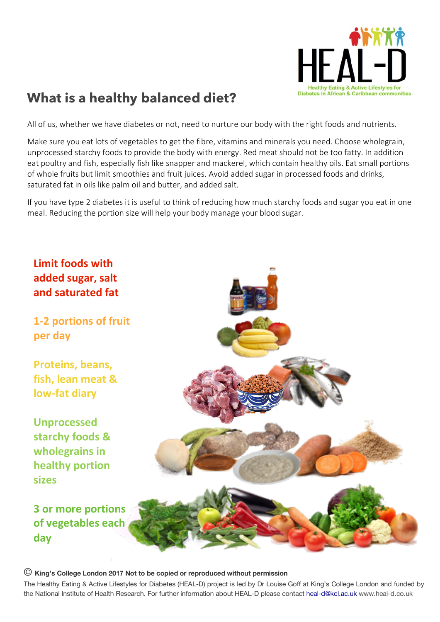

## **What is a healthy balanced diet?**

All of us, whether we have diabetes or not, need to nurture our body with the right foods and nutrients.

Make sure you eat lots of vegetables to get the fibre, vitamins and minerals you need. Choose wholegrain, unprocessed starchy foods to provide the body with energy. Red meat should not be too fatty. In addition eat poultry and fish, especially fish like snapper and mackerel, which contain healthy oils. Eat small portions of whole fruits but limit smoothies and fruit juices. Avoid added sugar in processed foods and drinks, saturated fat in oils like palm oil and butter, and added salt.

If you have type 2 diabetes it is useful to think of reducing how much starchy foods and sugar you eat in one meal. Reducing the portion size will help your body manage your blood sugar.



## © **King's College London <sup>2017</sup> Not to be copied or reproduced without permission**

The Healthy Eating & Active Lifestyles for Diabetes (HEAL-D) project is led by Dr Louise Goff at King's College London and funded by the National Institute of Health Research. For further information about HEAL-D please contact heal-d@kcl.ac.uk www.heal-d.co.uk